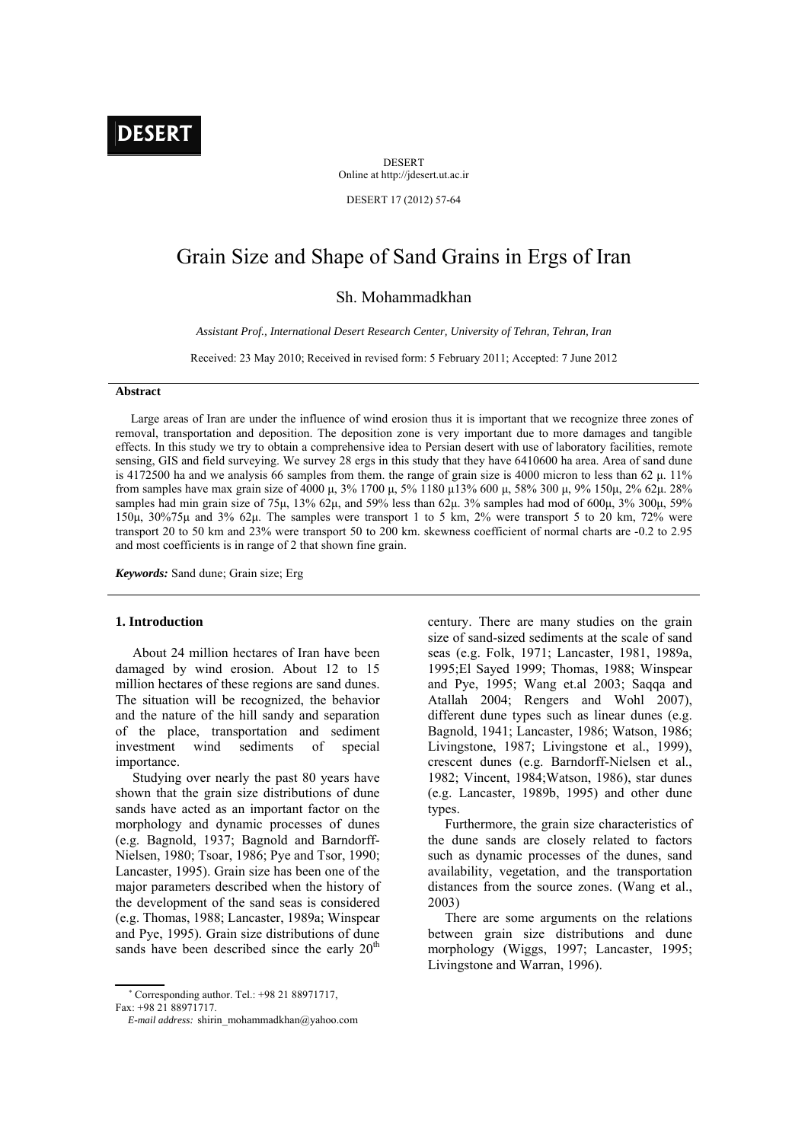# **DESER**

DESERT Online at http://jdesert.ut.ac.ir

DESERT 17 (2012) 57-64

# Grain Size and Shape of Sand Grains in Ergs of Iran

Sh. Mohammadkhan

*Assistant Prof., International Desert Research Center, University of Tehran, Tehran, Iran* 

Received: 23 May 2010; Received in revised form: 5 February 2011; Accepted: 7 June 2012

# **Abstract**

 Large areas of Iran are under the influence of wind erosion thus it is important that we recognize three zones of removal, transportation and deposition. The deposition zone is very important due to more damages and tangible effects. In this study we try to obtain a comprehensive idea to Persian desert with use of laboratory facilities, remote sensing, GIS and field surveying. We survey 28 ergs in this study that they have 6410600 ha area. Area of sand dune is 4172500 ha and we analysis 66 samples from them. the range of grain size is 4000 micron to less than 62  $\mu$ . 11% from samples have max grain size of 4000 μ, 3% 1700 μ, 5% 1180 μ13% 600 μ, 58% 300 μ, 9% 150μ, 2% 62μ. 28% samples had min grain size of 75μ, 13% 62μ, and 59% less than 62μ. 3% samples had mod of 600μ, 3% 300μ, 59% 150μ, 30%75μ and 3% 62μ. The samples were transport 1 to 5 km, 2% were transport 5 to 20 km, 72% were transport 20 to 50 km and 23% were transport 50 to 200 km. skewness coefficient of normal charts are -0.2 to 2.95 and most coefficients is in range of 2 that shown fine grain.

*Keywords:* Sand dune; Grain size; Erg

# **1. Introduction**

 About 24 million hectares of Iran have been damaged by wind erosion. About 12 to 15 million hectares of these regions are sand dunes. The situation will be recognized, the behavior and the nature of the hill sandy and separation of the place, transportation and sediment investment wind sediments of special importance.

 Studying over nearly the past 80 years have shown that the grain size distributions of dune sands have acted as an important factor on the morphology and dynamic processes of dunes (e.g. Bagnold, 1937; Bagnold and Barndorff-Nielsen, 1980; Tsoar, 1986; Pye and Tsor, 1990; Lancaster, 1995). Grain size has been one of the major parameters described when the history of the development of the sand seas is considered (e.g. Thomas, 1988; Lancaster, 1989a; Winspear and Pye, 1995). Grain size distributions of dune sands have been described since the early  $20<sup>th</sup>$ 

century. There are many studies on the grain size of sand-sized sediments at the scale of sand seas (e.g. Folk, 1971; Lancaster, 1981, 1989a, 1995;El Sayed 1999; Thomas, 1988; Winspear and Pye, 1995; Wang et.al 2003; Saqqa and Atallah 2004; Rengers and Wohl 2007), different dune types such as linear dunes (e.g. Bagnold, 1941; Lancaster, 1986; Watson, 1986; Livingstone, 1987; Livingstone et al., 1999), crescent dunes (e.g. Barndorff-Nielsen et al., 1982; Vincent, 1984;Watson, 1986), star dunes (e.g. Lancaster, 1989b, 1995) and other dune types.

 Furthermore, the grain size characteristics of the dune sands are closely related to factors such as dynamic processes of the dunes, sand availability, vegetation, and the transportation distances from the source zones. (Wang et al., 2003)

 There are some arguments on the relations between grain size distributions and dune morphology (Wiggs, 1997; Lancaster, 1995; Livingstone and Warran, 1996).

 Corresponding author. Tel.: +98 21 88971717, Fax: +98 21 88971717.

*E-mail address:* shirin\_mohammadkhan@yahoo.com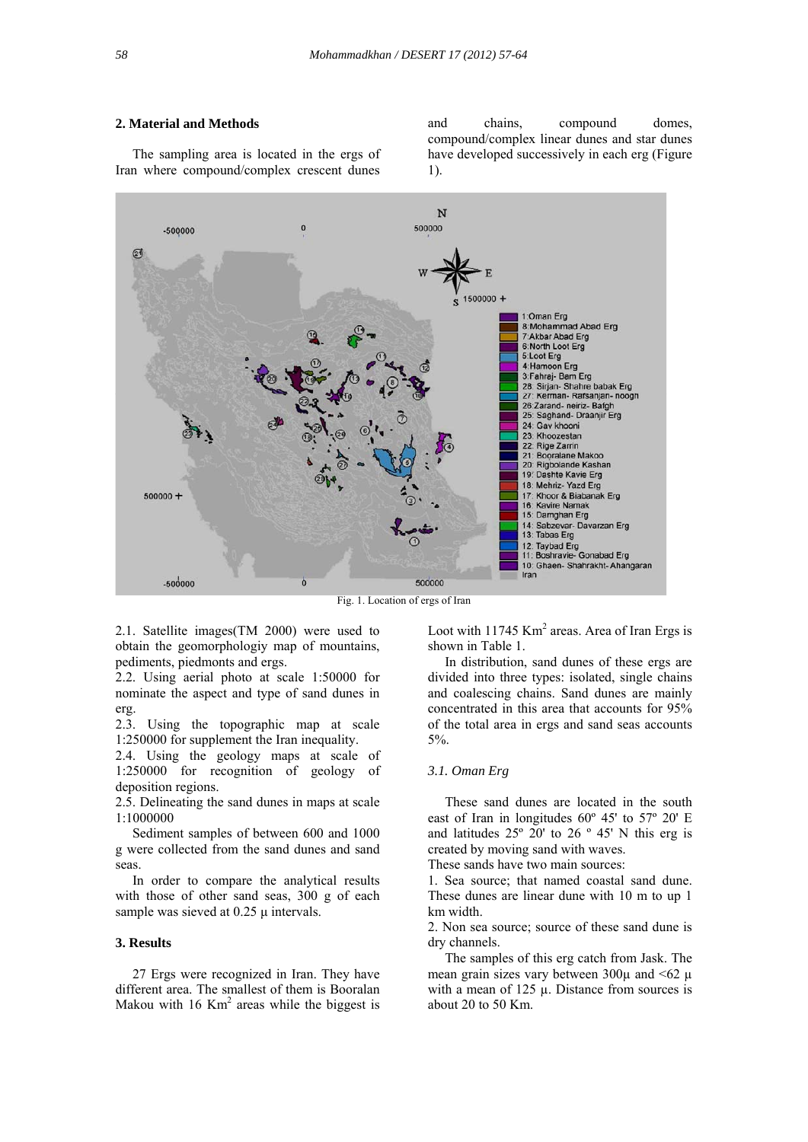# **2. Material and Methods**

 The sampling area is located in the ergs of Iran where compound/complex crescent dunes

and chains, compound domes, compound/complex linear dunes and star dunes have developed successively in each erg (Figure 1).



Fig. 1. Location of ergs of Iran

2.1. Satellite images(TM 2000) were used to obtain the geomorphologiy map of mountains, pediments, piedmonts and ergs.

2.2. Using aerial photo at scale 1:50000 for nominate the aspect and type of sand dunes in erg.

2.3. Using the topographic map at scale 1:250000 for supplement the Iran inequality.

2.4. Using the geology maps at scale of 1:250000 for recognition of geology of deposition regions.

2.5. Delineating the sand dunes in maps at scale 1:1000000

 Sediment samples of between 600 and 1000 g were collected from the sand dunes and sand seas.

 In order to compare the analytical results with those of other sand seas, 300 g of each sample was sieved at 0.25 μ intervals.

# **3. Results**

 27 Ergs were recognized in Iran. They have different area. The smallest of them is Booralan Makou with  $16$  Km<sup>2</sup> areas while the biggest is Loot with  $11745$  Km<sup>2</sup> areas. Area of Iran Ergs is shown in Table 1.

 In distribution, sand dunes of these ergs are divided into three types: isolated, single chains and coalescing chains. Sand dunes are mainly concentrated in this area that accounts for 95% of the total area in ergs and sand seas accounts 5%.

#### *3.1. Oman Erg*

 These sand dunes are located in the south east of Iran in longitudes 60º 45' to 57º 20' E and latitudes  $25^{\circ}$  20' to  $26^{\circ}$  45' N this erg is created by moving sand with waves.

These sands have two main sources:

1. Sea source; that named coastal sand dune. These dunes are linear dune with 10 m to up 1 km width.

2. Non sea source; source of these sand dune is dry channels.

 The samples of this erg catch from Jask. The mean grain sizes vary between  $300\mu$  and  $\leq 62\mu$ with a mean of 125 u. Distance from sources is about 20 to 50 Km.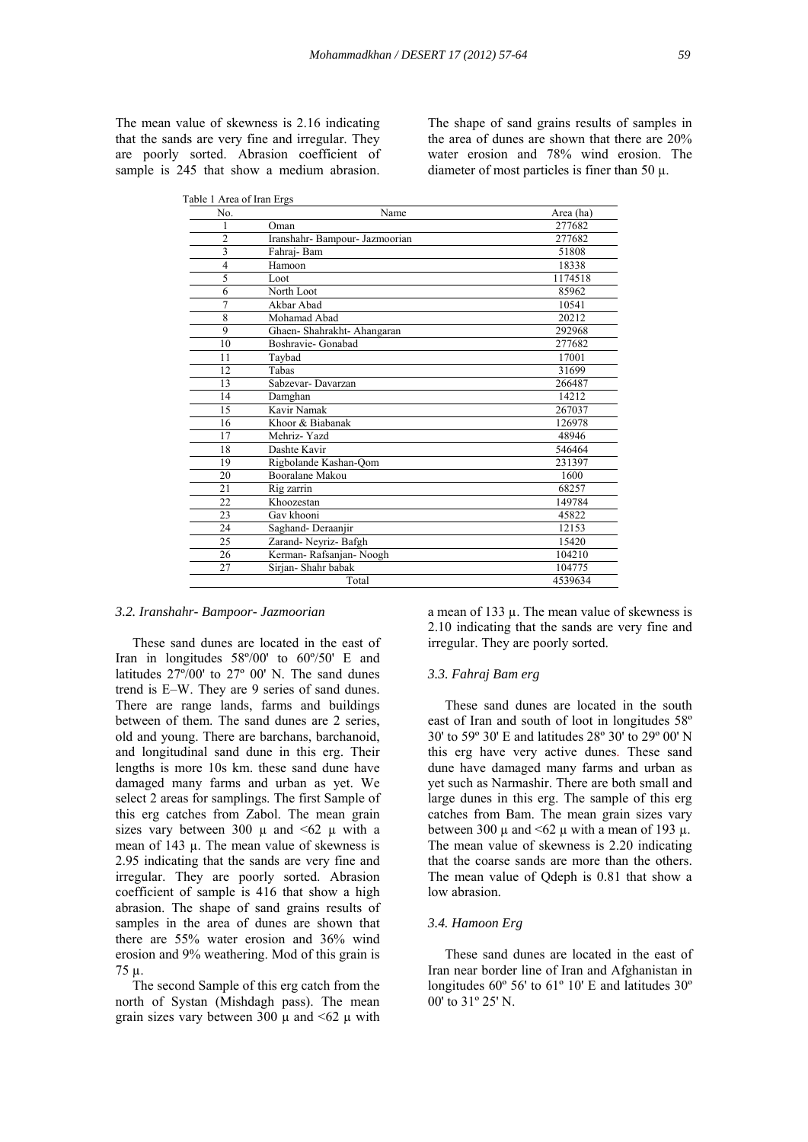The mean value of skewness is 2.16 indicating that the sands are very fine and irregular. They are poorly sorted. Abrasion coefficient of sample is 245 that show a medium abrasion.

The shape of sand grains results of samples in the area of dunes are shown that there are 20% water erosion and 78% wind erosion. The diameter of most particles is finer than 50  $\mu$ .

| No.            | Name                           | Area (ha) |
|----------------|--------------------------------|-----------|
| 1              | Oman                           | 277682    |
| $\overline{2}$ | Iranshahr- Bampour- Jazmoorian | 277682    |
| 3              | Fahraj-Bam                     | 51808     |
| $\overline{4}$ | Hamoon                         | 18338     |
| 5              | Loot                           | 1174518   |
| 6              | North Loot                     | 85962     |
| $\overline{7}$ | Akbar Abad                     | 10541     |
| 8              | Mohamad Abad                   | 20212     |
| 9              | Ghaen-Shahrakht-Ahangaran      | 292968    |
| 10             | Boshravie- Gonabad             | 277682    |
| 11             | Taybad                         | 17001     |
| 12             | Tabas                          | 31699     |
| 13             | Sabzevar-Davarzan              | 266487    |
| 14             | Damghan                        | 14212     |
| 15             | Kavir Namak                    | 267037    |
| 16             | Khoor & Biabanak               | 126978    |
| 17             | Mehriz-Yazd                    | 48946     |
| 18             | Dashte Kavir                   | 546464    |
| 19             | Rigbolande Kashan-Qom          | 231397    |
| 20             | Booralane Makou                | 1600      |
| 21             | Rig zarrin                     | 68257     |
| 22             | Khoozestan                     | 149784    |
| 23             | Gav khooni                     | 45822     |
| 24             | Saghand-Deraanjir              | 12153     |
| 25             | Zarand-Neyriz-Bafgh            | 15420     |
| 26             | Kerman-Rafsanjan-Noogh         | 104210    |
| 27             | Sirjan-Shahr babak             | 104775    |
|                | Total                          | 4539634   |

#### *3.2. Iranshahr- Bampoor- Jazmoorian*

 These sand dunes are located in the east of Iran in longitudes 58º/00' to 60º/50' E and latitudes 27º/00' to 27º 00' N. The sand dunes trend is E–W. They are 9 series of sand dunes. There are range lands, farms and buildings between of them. The sand dunes are 2 series, old and young. There are barchans, barchanoid, and longitudinal sand dune in this erg. Their lengths is more 10s km. these sand dune have damaged many farms and urban as yet. We select 2 areas for samplings. The first Sample of this erg catches from Zabol. The mean grain sizes vary between 300  $\mu$  and  $\leq 62$   $\mu$  with a mean of 143 µ. The mean value of skewness is 2.95 indicating that the sands are very fine and irregular. They are poorly sorted. Abrasion coefficient of sample is 416 that show a high abrasion. The shape of sand grains results of samples in the area of dunes are shown that there are 55% water erosion and 36% wind erosion and 9% weathering. Mod of this grain is 75 µ.

 The second Sample of this erg catch from the north of Systan (Mishdagh pass). The mean grain sizes vary between 300  $\mu$  and <62  $\mu$  with

a mean of 133  $\mu$ . The mean value of skewness is 2.10 indicating that the sands are very fine and irregular. They are poorly sorted.

#### *3.3. Fahraj Bam erg*

 These sand dunes are located in the south east of Iran and south of loot in longitudes 58º 30' to 59º 30' E and latitudes 28º 30' to 29º 00' N this erg have very active dunes. These sand dune have damaged many farms and urban as yet such as Narmashir. There are both small and large dunes in this erg. The sample of this erg catches from Bam. The mean grain sizes vary between 300  $\mu$  and <62  $\mu$  with a mean of 193  $\mu$ . The mean value of skewness is 2.20 indicating that the coarse sands are more than the others. The mean value of Qdeph is 0.81 that show a low abrasion.

#### *3.4. Hamoon Erg*

 These sand dunes are located in the east of Iran near border line of Iran and Afghanistan in longitudes 60º 56' to 61º 10' E and latitudes 30º 00' to 31º 25' N.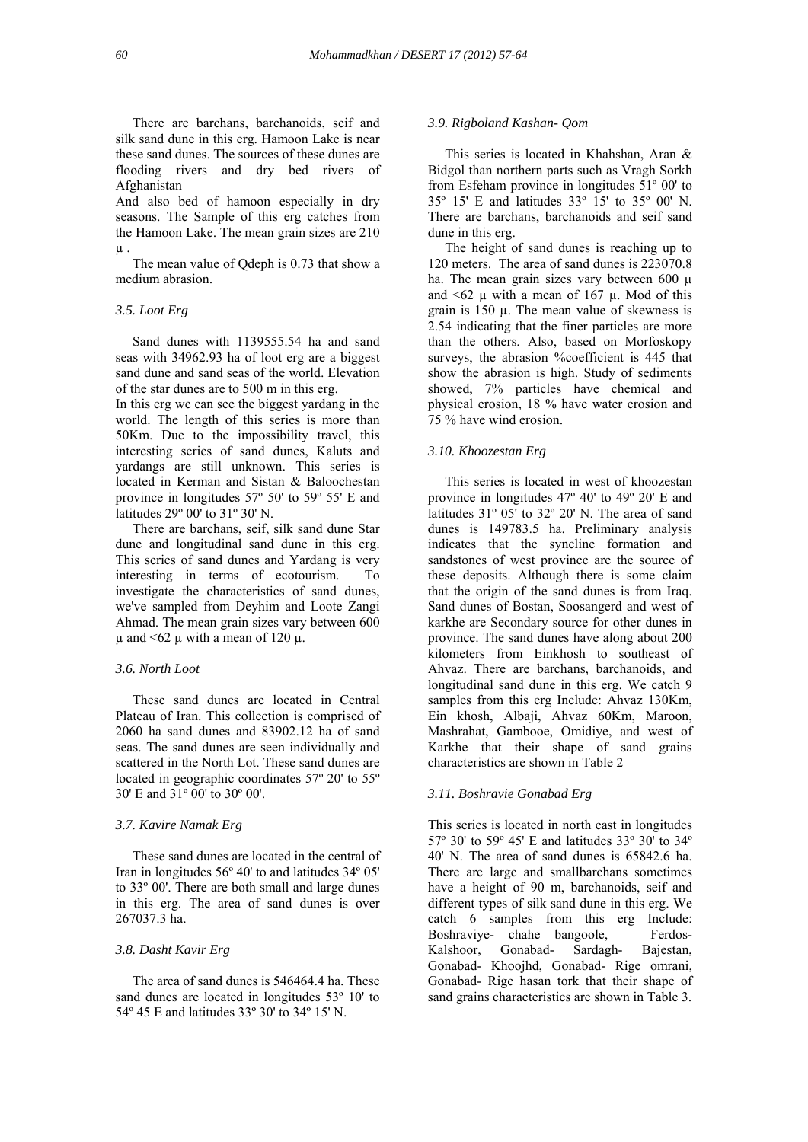There are barchans, barchanoids, seif and silk sand dune in this erg. Hamoon Lake is near these sand dunes. The sources of these dunes are flooding rivers and dry bed rivers of Afghanistan

And also bed of hamoon especially in dry seasons. The Sample of this erg catches from the Hamoon Lake. The mean grain sizes are 210  $\mu$ .

 The mean value of Qdeph is 0.73 that show a medium abrasion.

## *3.5. Loot Erg*

 Sand dunes with 1139555.54 ha and sand seas with 34962.93 ha of loot erg are a biggest sand dune and sand seas of the world. Elevation of the star dunes are to 500 m in this erg.

In this erg we can see the biggest yardang in the world. The length of this series is more than 50Km. Due to the impossibility travel, this interesting series of sand dunes, Kaluts and yardangs are still unknown. This series is located in Kerman and Sistan & Baloochestan province in longitudes 57º 50' to 59º 55' E and latitudes 29º 00' to 31º 30' N.

 There are barchans, seif, silk sand dune Star dune and longitudinal sand dune in this erg. This series of sand dunes and Yardang is very interesting in terms of ecotourism. To investigate the characteristics of sand dunes, we've sampled from Deyhim and Loote Zangi Ahmad. The mean grain sizes vary between 600 u and  $\leq 62$  u with a mean of 120 u.

#### *3.6. North Loot*

 These sand dunes are located in Central Plateau of Iran. This collection is comprised of 2060 ha sand dunes and 83902.12 ha of sand seas. The sand dunes are seen individually and scattered in the North Lot. These sand dunes are located in geographic coordinates 57º 20' to 55º 30' E and 31º 00' to 30º 00'.

# *3.7. Kavire Namak Erg*

 These sand dunes are located in the central of Iran in longitudes 56º 40' to and latitudes 34º 05' to 33º 00'. There are both small and large dunes in this erg. The area of sand dunes is over 267037.3 ha.

#### *3.8. Dasht Kavir Erg*

 The area of sand dunes is 546464.4 ha. These sand dunes are located in longitudes 53<sup>°</sup> 10' to 54º 45 E and latitudes 33º 30' to 34º 15' N.

## *3.9. Rigboland Kashan- Qom*

 This series is located in Khahshan, Aran & Bidgol than northern parts such as Vragh Sorkh from Esfeham province in longitudes 51º 00' to 35º 15' E and latitudes 33º 15' to 35º 00' N. There are barchans, barchanoids and seif sand dune in this erg.

 The height of sand dunes is reaching up to 120 meters. The area of sand dunes is 223070.8 ha. The mean grain sizes vary between  $600 \mu$ and  $\leq 62$  µ with a mean of 167 µ. Mod of this grain is  $150 \mu$ . The mean value of skewness is 2.54 indicating that the finer particles are more than the others. Also, based on Morfoskopy surveys, the abrasion %coefficient is 445 that show the abrasion is high. Study of sediments showed, 7% particles have chemical and physical erosion, 18 % have water erosion and 75 % have wind erosion.

# *3.10. Khoozestan Erg*

 This series is located in west of khoozestan province in longitudes 47º 40' to 49º 20' E and latitudes 31º 05' to 32º 20' N. The area of sand dunes is 149783.5 ha. Preliminary analysis indicates that the syncline formation and sandstones of west province are the source of these deposits. Although there is some claim that the origin of the sand dunes is from Iraq. Sand dunes of Bostan, Soosangerd and west of karkhe are Secondary source for other dunes in province. The sand dunes have along about 200 kilometers from Einkhosh to southeast of Ahvaz. There are barchans, barchanoids, and longitudinal sand dune in this erg. We catch 9 samples from this erg Include: Ahvaz 130Km, Ein khosh, Albaji, Ahvaz 60Km, Maroon, Mashrahat, Gambooe, Omidiye, and west of Karkhe that their shape of sand grains characteristics are shown in Table 2

# *3.11. Boshravie Gonabad Erg*

This series is located in north east in longitudes 57º 30' to 59º 45' E and latitudes 33º 30' to 34º 40' N. The area of sand dunes is 65842.6 ha. There are large and smallbarchans sometimes have a height of 90 m, barchanoids, seif and different types of silk sand dune in this erg. We catch 6 samples from this erg Include: Boshraviye- chahe bangoole, Ferdos-Kalshoor, Gonabad- Sardagh- Bajestan, Gonabad- Khoojhd, Gonabad- Rige omrani, Gonabad- Rige hasan tork that their shape of sand grains characteristics are shown in Table 3.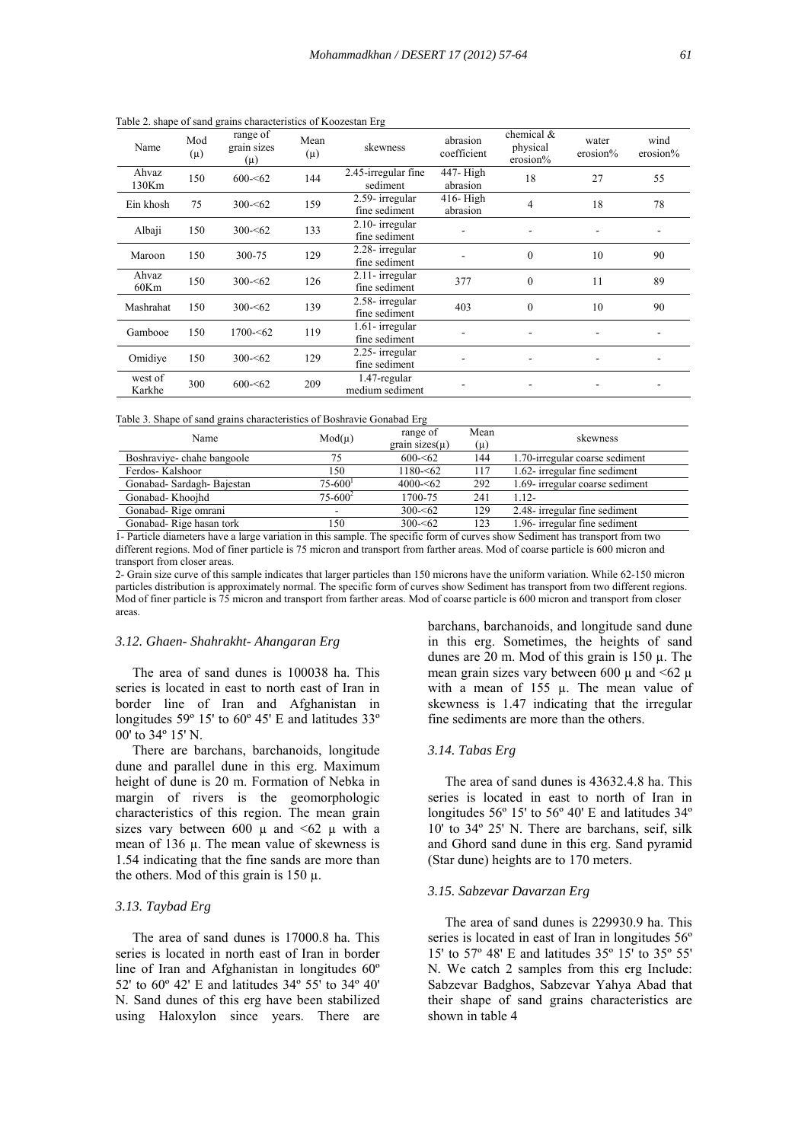| Name              | Mod<br>$(\mu)$ | $\frac{1}{2}$ . Shape of Sana grams enargeteristics of Hooglestan $E_{\text{in}}$<br>range of<br>grain sizes<br>$(\mu)$ | Mean<br>$(\mu)$ | skewness                         | abrasion<br>coefficient | chemical &<br>physical<br>$erosion\%$ | water<br>erosion% | wind<br>erosion% |
|-------------------|----------------|-------------------------------------------------------------------------------------------------------------------------|-----------------|----------------------------------|-------------------------|---------------------------------------|-------------------|------------------|
| Ahvaz<br>130Km    | 150            | $600 - 62$                                                                                                              | 144             | 2.45-irregular fine<br>sediment  | 447- High<br>abrasion   | 18                                    | 27                | 55               |
| Ein khosh         | 75             | $300 - 62$                                                                                                              | 159             | 2.59- irregular<br>fine sediment | $416$ -High<br>abrasion | 4                                     | 18                | 78               |
| Albaji            | 150            | $300 - 62$                                                                                                              | 133             | 2.10- irregular<br>fine sediment |                         |                                       |                   |                  |
| Maroon            | 150            | 300-75                                                                                                                  | 129             | 2.28- irregular<br>fine sediment |                         | $\mathbf{0}$                          | 10                | 90               |
| Ahvaz<br>60Km     | 150            | $300 - 62$                                                                                                              | 126             | 2.11-irregular<br>fine sediment  | 377                     | $\theta$                              | 11                | 89               |
| Mashrahat         | 150            | $300 - 62$                                                                                                              | 139             | 2.58- irregular<br>fine sediment | 403                     | $\Omega$                              | 10                | 90               |
| Gambooe           | 150            | $1700 - 62$                                                                                                             | 119             | 1.61- irregular<br>fine sediment |                         |                                       |                   |                  |
| Omidiye           | 150            | $300 - 62$                                                                                                              | 129             | 2.25-irregular<br>fine sediment  |                         |                                       |                   |                  |
| west of<br>Karkhe | 300            | $600 - 62$                                                                                                              | 209             | 1.47-regular<br>medium sediment  |                         |                                       |                   |                  |

Table 2. shape of sand grains characteristics of Koozestan Erg

| Table 3. Shape of sand grains characteristics of Boshravie Gonabad Erg |  |  |
|------------------------------------------------------------------------|--|--|
|                                                                        |  |  |

| Name                      | $Mod(\mu)$              | range of<br>grain sizes $(\mu)$ | Mean<br>$(\mu)$ | skewness                        |
|---------------------------|-------------------------|---------------------------------|-----------------|---------------------------------|
| Boshraviye-chahe bangoole | 75                      | $600 - 62$                      | 144             | 1.70-irregular coarse sediment  |
| Ferdos-Kalshoor           | 150                     | $1180 - 62$                     | 117             | 1.62- irregular fine sediment   |
| Gonabad-Sardagh-Bajestan  | $75 - 600$ <sup>1</sup> | $4000 - 62$                     | 292             | 1.69- irregular coarse sediment |
| Gonabad-Khoojhd           | $75 - 600^2$            | 1700-75                         | 241             | $112-$                          |
| Gonabad-Rige omrani       |                         | $300 - 62$                      | 129             | 2.48- irregular fine sediment   |
| Gonabad-Rige hasan tork   | 150                     | $300 - 62$                      | 123             | 1.96- irregular fine sediment   |

1- Particle diameters have a large variation in this sample. The specific form of curves show Sediment has transport from two different regions. Mod of finer particle is 75 micron and transport from farther areas. Mod of coarse particle is 600 micron and transport from closer areas.

2- Grain size curve of this sample indicates that larger particles than 150 microns have the uniform variation. While 62-150 micron particles distribution is approximately normal. The specific form of curves show Sediment has transport from two different regions. Mod of finer particle is 75 micron and transport from farther areas. Mod of coarse particle is 600 micron and transport from closer areas.

#### *3.12. Ghaen- Shahrakht- Ahangaran Erg*

 The area of sand dunes is 100038 ha. This series is located in east to north east of Iran in border line of Iran and Afghanistan in longitudes 59º 15' to 60º 45' E and latitudes 33º 00' to  $34^{\circ}$  15' N.

 There are barchans, barchanoids, longitude dune and parallel dune in this erg. Maximum height of dune is 20 m. Formation of Nebka in margin of rivers is the geomorphologic characteristics of this region. The mean grain sizes vary between 600  $\mu$  and <62  $\mu$  with a mean of 136 µ. The mean value of skewness is 1.54 indicating that the fine sands are more than the others. Mod of this grain is 150 µ.

# *3.13. Taybad Erg*

 The area of sand dunes is 17000.8 ha. This series is located in north east of Iran in border line of Iran and Afghanistan in longitudes 60º 52' to 60º 42' E and latitudes 34º 55' to 34º 40' N. Sand dunes of this erg have been stabilized using Haloxylon since years. There are barchans, barchanoids, and longitude sand dune in this erg. Sometimes, the heights of sand dunes are 20 m. Mod of this grain is 150 µ. The mean grain sizes vary between 600  $\mu$  and <62  $\mu$ with a mean of 155 µ. The mean value of skewness is 1.47 indicating that the irregular fine sediments are more than the others.

# *3.14. Tabas Erg*

 The area of sand dunes is 43632.4.8 ha. This series is located in east to north of Iran in longitudes 56º 15' to 56º 40' E and latitudes 34º 10' to 34º 25' N. There are barchans, seif, silk and Ghord sand dune in this erg. Sand pyramid (Star dune) heights are to 170 meters.

#### *3.15. Sabzevar Davarzan Erg*

 The area of sand dunes is 229930.9 ha. This series is located in east of Iran in longitudes 56º 15' to 57º 48' E and latitudes 35º 15' to 35º 55' N. We catch 2 samples from this erg Include: Sabzevar Badghos, Sabzevar Yahya Abad that their shape of sand grains characteristics are shown in table 4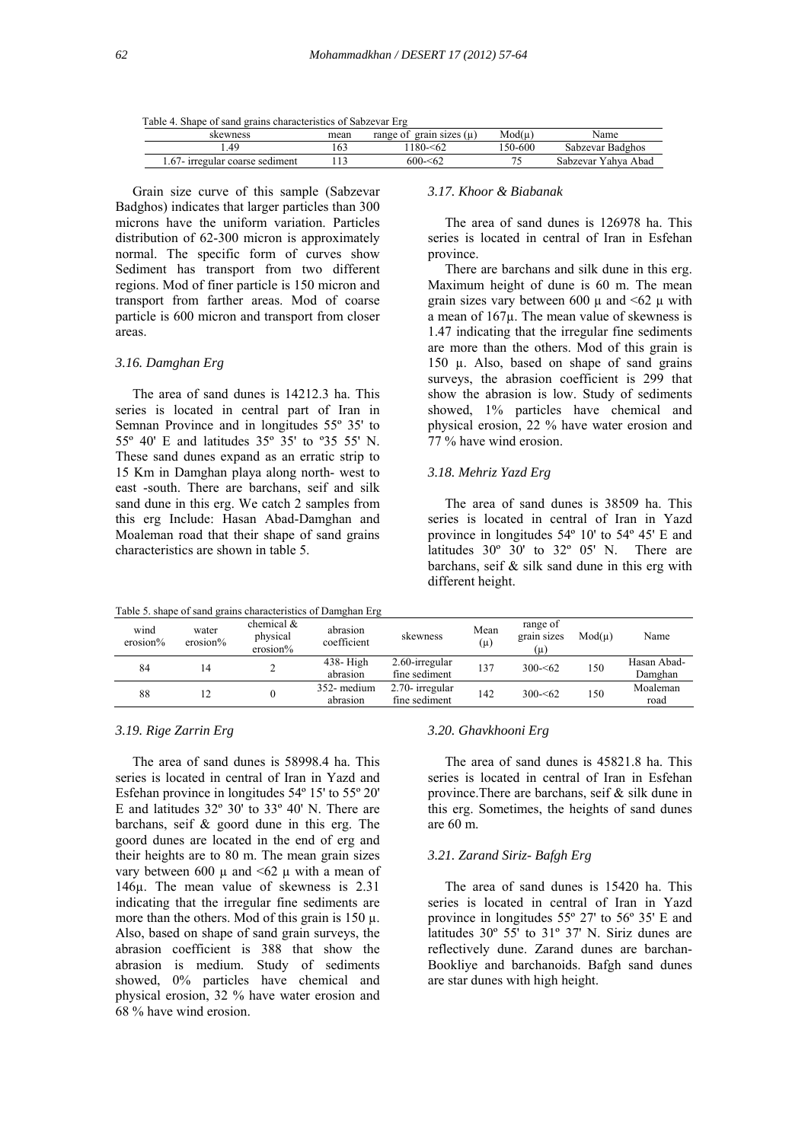|  |  | Table 4. Shape of sand grains characteristics of Sabzevar Erg |
|--|--|---------------------------------------------------------------|
|  |  |                                                               |

| skewness                        | mean | grain sizes (u)<br>range of | Mod(u    | Name                   |
|---------------------------------|------|-----------------------------|----------|------------------------|
| 49                              |      | $180 - 62$                  | ۔600-600 | Sabzevar Badghos       |
| 1.67- irregular coarse sediment |      | $600 - 62$                  |          | Yahya Abad<br>Sabzevar |

 Grain size curve of this sample (Sabzevar Badghos) indicates that larger particles than 300 microns have the uniform variation. Particles distribution of 62-300 micron is approximately normal. The specific form of curves show Sediment has transport from two different regions. Mod of finer particle is 150 micron and transport from farther areas. Mod of coarse particle is 600 micron and transport from closer areas.

#### *3.16. Damghan Erg*

 The area of sand dunes is 14212.3 ha. This series is located in central part of Iran in Semnan Province and in longitudes 55º 35' to 55º 40' E and latitudes 35º 35' to º35 55' N. These sand dunes expand as an erratic strip to 15 Km in Damghan playa along north- west to east -south. There are barchans, seif and silk sand dune in this erg. We catch 2 samples from this erg Include: Hasan Abad-Damghan and Moaleman road that their shape of sand grains characteristics are shown in table 5.

Table 5. shape of sand grains characteristics of Damghan Erg

# *3.17. Khoor & Biabanak*

 The area of sand dunes is 126978 ha. This series is located in central of Iran in Esfehan province.

 There are barchans and silk dune in this erg. Maximum height of dune is 60 m. The mean grain sizes vary between 600  $\mu$  and  $\leq 62$   $\mu$  with a mean of 167µ. The mean value of skewness is 1.47 indicating that the irregular fine sediments are more than the others. Mod of this grain is 150 µ. Also, based on shape of sand grains surveys, the abrasion coefficient is 299 that show the abrasion is low. Study of sediments showed, 1% particles have chemical and physical erosion, 22 % have water erosion and 77 % have wind erosion.

# *3.18. Mehriz Yazd Erg*

 The area of sand dunes is 38509 ha. This series is located in central of Iran in Yazd province in longitudes 54º 10' to 54º 45' E and latitudes 30º 30' to 32º 05' N. There are barchans, seif & silk sand dune in this erg with different height.

|                  |                      |                                          | Table 5, shape of sand grains characteristics of Damghan Erg |                                    |                 |                                |        |                        |
|------------------|----------------------|------------------------------------------|--------------------------------------------------------------|------------------------------------|-----------------|--------------------------------|--------|------------------------|
| wind<br>erosion% | water<br>$erosion\%$ | chemical $\&$<br>physical<br>$erosion\%$ | abrasion<br>coefficient                                      | skewness                           | Mean<br>$(\mu)$ | range of<br>grain sizes<br>(μ) | Mod(u) | Name                   |
| 84               | 14                   |                                          | $438 - High$<br>abrasion                                     | $2.60$ -irregular<br>fine sediment | 137             | $300 - 62$                     | 150    | Hasan Abad-<br>Damghan |
|                  |                      |                                          |                                                              |                                    |                 |                                |        |                        |
| 88               |                      |                                          | 352- medium                                                  | 2.70- irregular                    | 142             | $300 - 62$                     | 150    | Moaleman               |
|                  |                      |                                          | U                                                            | abrasion                           | fine sediment   |                                |        |                        |

# *3.19. Rige Zarrin Erg*

 The area of sand dunes is 58998.4 ha. This series is located in central of Iran in Yazd and Esfehan province in longitudes 54º 15' to 55º 20' E and latitudes 32º 30' to 33º 40' N. There are barchans, seif & goord dune in this erg. The goord dunes are located in the end of erg and their heights are to 80 m. The mean grain sizes vary between 600  $\mu$  and <62  $\mu$  with a mean of 146µ. The mean value of skewness is 2.31 indicating that the irregular fine sediments are more than the others. Mod of this grain is  $150 \mu$ . Also, based on shape of sand grain surveys, the abrasion coefficient is 388 that show the abrasion is medium. Study of sediments showed, 0% particles have chemical and physical erosion, 32 % have water erosion and 68 % have wind erosion.

#### *3.20. Ghavkhooni Erg*

 The area of sand dunes is 45821.8 ha. This series is located in central of Iran in Esfehan province.There are barchans, seif & silk dune in this erg. Sometimes, the heights of sand dunes are 60 m.

# *3.21. Zarand Siriz- Bafgh Erg*

 The area of sand dunes is 15420 ha. This series is located in central of Iran in Yazd province in longitudes 55º 27' to 56º 35' E and latitudes 30º 55' to 31º 37' N. Siriz dunes are reflectively dune. Zarand dunes are barchan-Bookliye and barchanoids. Bafgh sand dunes are star dunes with high height.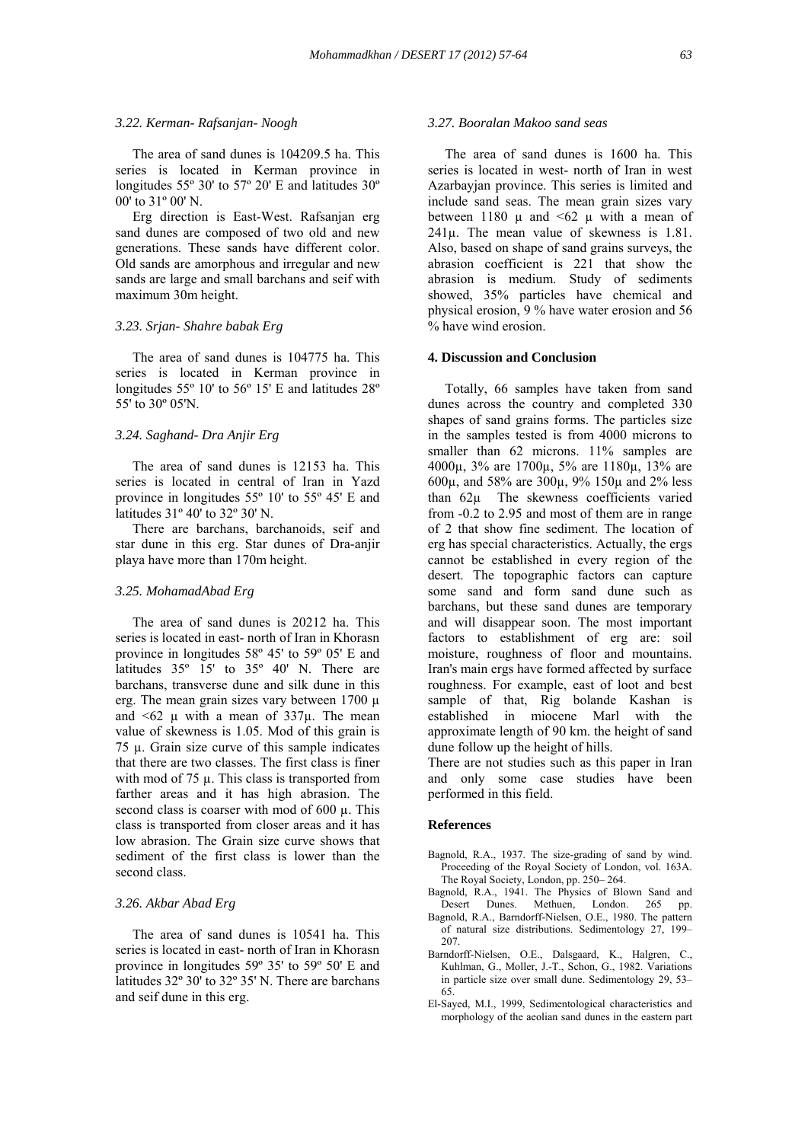#### *3.22. Kerman- Rafsanjan- Noogh*

 The area of sand dunes is 104209.5 ha. This series is located in Kerman province in longitudes 55º 30' to 57º 20' E and latitudes 30º 00' to 31º 00' N.

 Erg direction is East-West. Rafsanjan erg sand dunes are composed of two old and new generations. These sands have different color. Old sands are amorphous and irregular and new sands are large and small barchans and seif with maximum 30m height.

# *3.23. Srjan- Shahre babak Erg*

 The area of sand dunes is 104775 ha. This series is located in Kerman province in longitudes 55° 10' to 56° 15' E and latitudes 28° 55' to 30º 05'N.

#### *3.24. Saghand- Dra Anjir Erg*

 The area of sand dunes is 12153 ha. This series is located in central of Iran in Yazd province in longitudes 55º 10' to 55º 45' E and latitudes 31º 40' to 32º 30' N.

 There are barchans, barchanoids, seif and star dune in this erg. Star dunes of Dra-anjir playa have more than 170m height.

#### *3.25. MohamadAbad Erg*

 The area of sand dunes is 20212 ha. This series is located in east- north of Iran in Khorasn province in longitudes 58º 45' to 59º 05' E and latitudes  $35^\circ$  15' to  $35^\circ$  40' N. There are barchans, transverse dune and silk dune in this erg. The mean grain sizes vary between 1700 µ and  $\leq 62$   $\mu$  with a mean of  $337\mu$ . The mean value of skewness is 1.05. Mod of this grain is  $75 \mu$ . Grain size curve of this sample indicates that there are two classes. The first class is finer with mod of 75  $\mu$ . This class is transported from farther areas and it has high abrasion. The second class is coarser with mod of  $600 \mu$ . This class is transported from closer areas and it has low abrasion. The Grain size curve shows that sediment of the first class is lower than the second class.

# *3.26. Akbar Abad Erg*

 The area of sand dunes is 10541 ha. This series is located in east- north of Iran in Khorasn province in longitudes 59º 35' to 59º 50' E and latitudes 32º 30' to 32º 35' N. There are barchans and seif dune in this erg.

#### *3.27. Booralan Makoo sand seas*

 The area of sand dunes is 1600 ha. This series is located in west- north of Iran in west Azarbayjan province. This series is limited and include sand seas. The mean grain sizes vary between 1180  $\mu$  and <62  $\mu$  with a mean of 241µ. The mean value of skewness is 1.81. Also, based on shape of sand grains surveys, the abrasion coefficient is 221 that show the abrasion is medium. Study of sediments showed, 35% particles have chemical and physical erosion, 9 % have water erosion and 56 % have wind erosion.

#### **4. Discussion and Conclusion**

 Totally, 66 samples have taken from sand dunes across the country and completed 330 shapes of sand grains forms. The particles size in the samples tested is from 4000 microns to smaller than 62 microns. 11% samples are 4000µ, 3% are 1700µ, 5% are 1180µ, 13% are 600µ, and 58% are 300µ, 9% 150µ and 2% less than 62µ The skewness coefficients varied from -0.2 to 2.95 and most of them are in range of 2 that show fine sediment. The location of erg has special characteristics. Actually, the ergs cannot be established in every region of the desert. The topographic factors can capture some sand and form sand dune such as barchans, but these sand dunes are temporary and will disappear soon. The most important factors to establishment of erg are: soil moisture, roughness of floor and mountains. Iran's main ergs have formed affected by surface roughness. For example, east of loot and best sample of that, Rig bolande Kashan is established in miocene Marl with the approximate length of 90 km. the height of sand dune follow up the height of hills.

There are not studies such as this paper in Iran and only some case studies have been performed in this field.

#### **References**

- Bagnold, R.A., 1937. The size-grading of sand by wind. Proceeding of the Royal Society of London, vol. 163A. The Royal Society, London, pp. 250– 264.
- Bagnold, R.A., 1941. The Physics of Blown Sand and Desert Dunes. Methuen, London. 265 pp.
- Bagnold, R.A., Barndorff-Nielsen, O.E., 1980. The pattern of natural size distributions. Sedimentology 27, 199– 207.
- Barndorff-Nielsen, O.E., Dalsgaard, K., Halgren, C., Kuhlman, G., Moller, J.-T., Schon, G., 1982. Variations in particle size over small dune. Sedimentology 29, 53– 65.
- El-Sayed, M.I., 1999, Sedimentological characteristics and morphology of the aeolian sand dunes in the eastern part